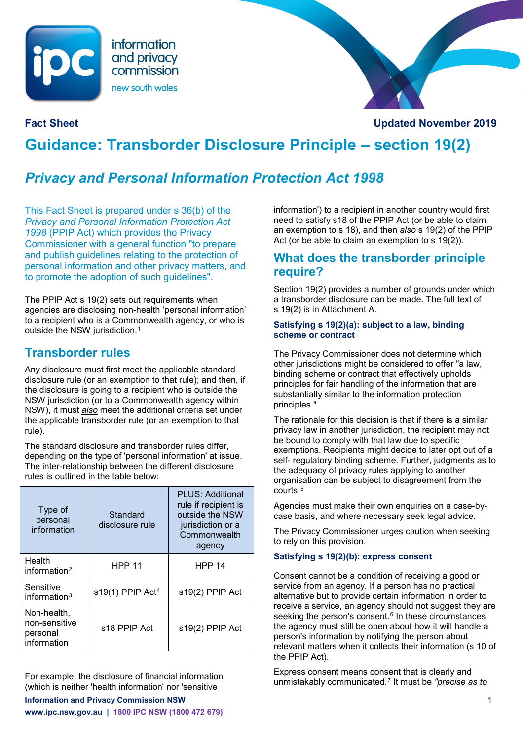



**Fact Sheet Updated November 2019**

# **Guidance: Transborder Disclosure Principle – section 19(2)**

# *Privacy and Personal Information Protection Act 1998*

This Fact Sheet is prepared under s 36(b) of the *Privacy and Personal Information Protection Act 1998* (PPIP Act) which provides the Privacy Commissioner with a general function "to prepare and publish guidelines relating to the protection of personal information and other privacy matters, and to promote the adoption of such guidelines".

The PPIP Act s 19(2) sets out requirements when agencies are disclosing non-health 'personal information' to a recipient who is a Commonwealth agency, or who is outside the NSW jurisdiction.<sup>[1](#page-2-0)</sup>

### **Transborder rules**

Any disclosure must first meet the applicable standard disclosure rule (or an exemption to that rule); and then, if the disclosure is going to a recipient who is outside the NSW jurisdiction (or to a Commonwealth agency within NSW), it must *also* meet the additional criteria set under the applicable transborder rule (or an exemption to that rule).

The standard disclosure and transborder rules differ, depending on the type of 'personal information' at issue. The inter-relationship between the different disclosure rules is outlined in the table below:

| Type of<br>personal<br>information                      | Standard<br>disclosure rule  | PLUS: Additional<br>rule if recipient is<br>outside the NSW<br>jurisdiction or a<br>Commonwealth<br>agency |
|---------------------------------------------------------|------------------------------|------------------------------------------------------------------------------------------------------------|
| Health<br>information $2$                               | <b>HPP 11</b>                | <b>HPP 14</b>                                                                                              |
| Sensitive<br>information $3$                            | s19(1) PPIP Act <sup>4</sup> | s19(2) PPIP Act                                                                                            |
| Non-health,<br>non-sensitive<br>personal<br>information | s18 PPIP Act                 | s19(2) PPIP Act                                                                                            |

For example, the disclosure of financial information (which is neither 'health information' nor 'sensitive

**Information and Privacy Commission NSW** 1

**www.ipc.nsw.gov.au | 1800 IPC NSW (1800 472 679)**

information') to a recipient in another country would first need to satisfy s18 of the PPIP Act (or be able to claim an exemption to s 18), and then *also* s 19(2) of the PPIP Act (or be able to claim an exemption to s 19(2)).

### **What does the transborder principle require?**

Section 19(2) provides a number of grounds under which a transborder disclosure can be made. The full text of s 19(2) is in Attachment A.

#### **Satisfying s 19(2)(a): subject to a law, binding scheme or contract**

The Privacy Commissioner does not determine which other jurisdictions might be considered to offer "a law, binding scheme or contract that effectively upholds principles for fair handling of the information that are substantially similar to the information protection principles."

The rationale for this decision is that if there is a similar privacy law in another jurisdiction, the recipient may not be bound to comply with that law due to specific exemptions. Recipients might decide to later opt out of a self- regulatory binding scheme. Further, judgments as to the adequacy of privacy rules applying to another organisation can be subject to disagreement from the courts.[5](#page-2-4)

Agencies must make their own enquiries on a case-bycase basis, and where necessary seek legal advice.

The Privacy Commissioner urges caution when seeking to rely on this provision.

#### **Satisfying s 19(2)(b): express consent**

Consent cannot be a condition of receiving a good or service from an agency. If a person has no practical alternative but to provide certain information in order to receive a service, an agency should not suggest they are seeking the person's consent.<sup>[6](#page-2-5)</sup> In these circumstances the agency must still be open about how it will handle a person's information by notifying the person about relevant matters when it collects their information (s 10 of the PPIP Act).

Express consent means consent that is clearly and unmistakably communicated.[7](#page-2-6) It must be *"precise as to*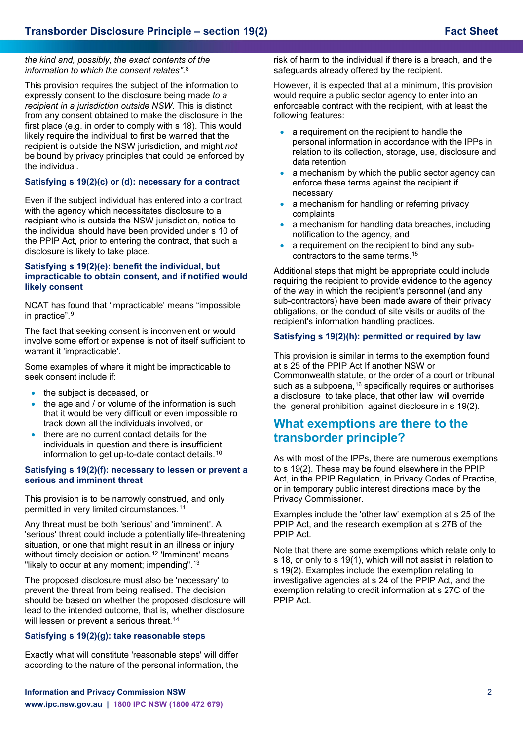*the kind and, possibly, the exact contents of the information to which the consent relates"*.[8](#page-2-7)

This provision requires the subject of the information to expressly consent to the disclosure being made *to a recipient in a jurisdiction outside NSW*. This is distinct from any consent obtained to make the disclosure in the first place (e.g. in order to comply with s 18). This would likely require the individual to first be warned that the recipient is outside the NSW jurisdiction, and might *not* be bound by privacy principles that could be enforced by the individual.

#### **Satisfying s 19(2)(c) or (d): necessary for a contract**

Even if the subject individual has entered into a contract with the agency which necessitates disclosure to a recipient who is outside the NSW jurisdiction, notice to the individual should have been provided under s 10 of the PPIP Act, prior to entering the contract, that such a disclosure is likely to take place.

#### **Satisfying s 19(2)(e): benefit the individual, but impracticable to obtain consent, and if notified would likely consent**

NCAT has found that 'impracticable' means "impossible in practice".[9](#page-2-8)

The fact that seeking consent is inconvenient or would involve some effort or expense is not of itself sufficient to warrant it 'impracticable'.

Some examples of where it might be impracticable to seek consent include if:

- the subject is deceased, or
- the age and / or volume of the information is such that it would be very difficult or even impossible ro track down all the individuals involved, or
- there are no current contact details for the individuals in question and there is insufficient information to get up-to-date contact details.[10](#page-2-9)

#### **Satisfying s 19(2)(f): necessary to lessen or prevent a serious and imminent threat**

This provision is to be narrowly construed, and only permitted in very limited circumstances.[11](#page-2-10)

Any threat must be both 'serious' and 'imminent'. A 'serious' threat could include a potentially life-threatening situation, or one that might result in an illness or injury without timely decision or action.<sup>[12](#page-2-11)</sup> 'Imminent' means "likely to occur at any moment; impending".[13](#page-2-12)

The proposed disclosure must also be 'necessary' to prevent the threat from being realised. The decision should be based on whether the proposed disclosure will lead to the intended outcome, that is, whether disclosure will lessen or prevent a serious threat.<sup>[14](#page-2-13)</sup>

#### **Satisfying s 19(2)(g): take reasonable steps**

Exactly what will constitute 'reasonable steps' will differ according to the nature of the personal information, the risk of harm to the individual if there is a breach, and the safeguards already offered by the recipient.

However, it is expected that at a minimum, this provision would require a public sector agency to enter into an enforceable contract with the recipient, with at least the following features:

- a requirement on the recipient to handle the personal information in accordance with the IPPs in relation to its collection, storage, use, disclosure and data retention
- a mechanism by which the public sector agency can enforce these terms against the recipient if necessary
- a mechanism for handling or referring privacy complaints
- a mechanism for handling data breaches, including notification to the agency, and
- a requirement on the recipient to bind any subcontractors to the same terms[.15](#page-2-14)

Additional steps that might be appropriate could include requiring the recipient to provide evidence to the agency of the way in which the recipient's personnel (and any sub-contractors) have been made aware of their privacy obligations, or the conduct of site visits or audits of the recipient's information handling practices.

#### **Satisfying s 19(2)(h): permitted or required by law**

This provision is similar in terms to the exemption found at s 25 of the PPIP Act If another NSW or Commonwealth statute, or the order of a court or tribunal such as a subpoena,<sup>[16](#page-2-15)</sup> specifically requires or authorises a disclosure to take place, that other law will override the general prohibition against disclosure in s 19(2).

### **What exemptions are there to the transborder principle?**

As with most of the IPPs, there are numerous exemptions to s 19(2). These may be found elsewhere in the PPIP Act, in the PPIP Regulation, in Privacy Codes of Practice, or in temporary public interest directions made by the Privacy Commissioner.

Examples include the 'other law' exemption at s 25 of the PPIP Act, and the research exemption at s 27B of the PPIP Act.

Note that there are some exemptions which relate only to s 18, or only to s 19(1), which will not assist in relation to s 19(2). Examples include the exemption relating to investigative agencies at s 24 of the PPIP Act, and the exemption relating to credit information at s 27C of the PPIP Act.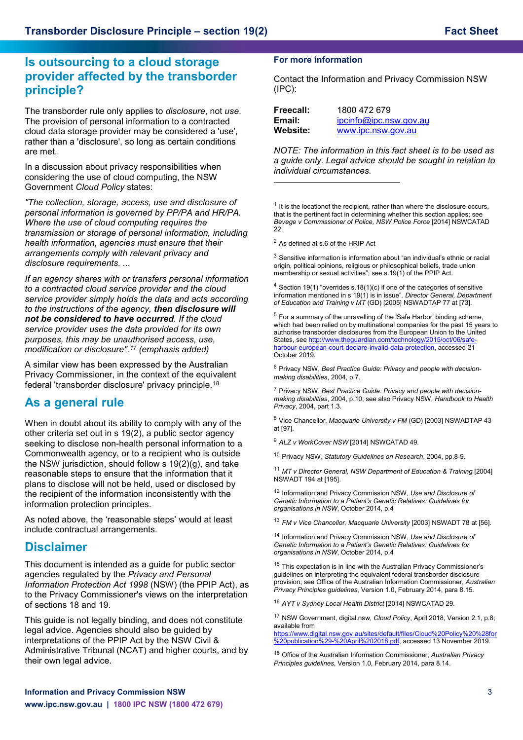### **Is outsourcing to a cloud storage provider affected by the transborder principle?**

The transborder rule only applies to *disclosure*, not *use*. The provision of personal information to a contracted cloud data storage provider may be considered a 'use', rather than a 'disclosure', so long as certain conditions are met.

In a discussion about privacy responsibilities when considering the use of cloud computing, the NSW Government *Cloud Policy* states:

<span id="page-2-0"></span>*"The collection, storage, access, use and disclosure of personal information is governed by PP/PA and HR/PA. Where the use of cloud computing requires the transmission or storage of personal information, including health information, agencies must ensure that their arrangements comply with relevant privacy and disclosure requirements. ...*

<span id="page-2-4"></span><span id="page-2-3"></span><span id="page-2-2"></span><span id="page-2-1"></span>*If an agency shares with or transfers personal information to a contracted cloud service provider and the cloud service provider simply holds the data and acts according to the instructions of the agency, then disclosure will not be considered to have occurred. If the cloud service provider uses the data provided for its own purposes, this may be unauthorised access, use, modification or disclosure".[17](#page-2-16) (emphasis added)*

<span id="page-2-5"></span>A similar view has been expressed by the Australian Privacy Commissioner, in the context of the equivalent federal 'transborder disclosure' privacy principle.[18](#page-2-17)

### <span id="page-2-6"></span>**As a general rule**

<span id="page-2-10"></span><span id="page-2-9"></span><span id="page-2-8"></span><span id="page-2-7"></span>When in doubt about its ability to comply with any of the other criteria set out in s 19(2), a public sector agency seeking to disclose non-health personal information to a Commonwealth agency, or to a recipient who is outside the NSW jurisdiction, should follow s 19(2)(g), and take reasonable steps to ensure that the information that it plans to disclose will not be held, used or disclosed by the recipient of the information inconsistently with the information protection principles.

<span id="page-2-12"></span><span id="page-2-11"></span>As noted above, the 'reasonable steps' would at least include contractual arrangements.

### <span id="page-2-13"></span>**Disclaimer**

<span id="page-2-14"></span>This document is intended as a guide for public sector agencies regulated by the *Privacy and Personal Information Protection Act 1998* (NSW) (the PPIP Act), as to the Privacy Commissioner's views on the interpretation of sections 18 and 19.

<span id="page-2-17"></span><span id="page-2-16"></span><span id="page-2-15"></span>This guide is not legally binding, and does not constitute legal advice. Agencies should also be guided by interpretations of the PPIP Act by the NSW Civil & Administrative Tribunal (NCAT) and higher courts, and by their own legal advice.

#### **For more information**

Contact the Information and Privacy Commission NSW (IPC):

| Freecall: | 1800 472 679           |
|-----------|------------------------|
| Email:    | ipcinfo@ipc.nsw.gov.au |
| Website:  | www.ipc.nsw.gov.au     |

*NOTE: The information in this fact sheet is to be used as a guide only. Legal advice should be sought in relation to individual circumstances.*

 $1$  It is the locationof the recipient, rather than where the disclosure occurs, that is the pertinent fact in determining whether this section applies; see *Bevege v Commissioner of Police, NSW Police Force* [2014] NSWCATAD 22.

<sup>2</sup> As defined at s.6 of the HRIP Act

i,

 $3$  Sensitive information is information about "an individual's ethnic or racial origin, political opinions, religious or philosophical beliefs, trade union membership or sexual activities"; see s.19(1) of the PPIP Act.

<sup>4</sup> Section 19(1) "overrides s.18(1)(c) if one of the categories of sensitive information mentioned in s 19(1) is in issue". *Director General, Department of Education and Training v MT* (GD) [2005] NSWADTAP 77 at [73].

<sup>5</sup> For a summary of the unravelling of the 'Safe Harbor' binding scheme, which had been relied on by multinational companies for the past 15 years to authorise transborder disclosures from the European Union to the United States, se[e http://www.theguardian.com/technology/2015/oct/06/safe](http://www.theguardian.com/technology/2015/oct/06/safe-harbour-european-court-declare-invalid-data-protection)[harbour-european-court-declare-invalid-data-protection,](http://www.theguardian.com/technology/2015/oct/06/safe-harbour-european-court-declare-invalid-data-protection) accessed 21 October 2019.

<sup>6</sup> Privacy NSW, *Best Practice Guide: Privacy and people with decisionmaking disabilities*, 2004, p.7.

<sup>7</sup> Privacy NSW, *Best Practice Guide: Privacy and people with decisionmaking disabilities*, 2004, p.10; see also Privacy NSW, *Handbook to Health Privacy*, 2004, part 1.3.

<sup>8</sup> Vice Chancellor, *Macquarie University v FM* (GD) [2003] NSWADTAP 43 at [97].

<sup>9</sup> *ALZ v WorkCover NSW* [2014] NSWCATAD 49.

<sup>10</sup> Privacy NSW, *Statutory Guidelines on Research*, 2004, pp.8-9.

<sup>11</sup> *MT v Director General, NSW Department of Education & Training* [2004] NSWADT 194 at [195].

<sup>12</sup> Information and Privacy Commission NSW, *Use and Disclosure of Genetic Information to a Patient's Genetic Relatives: Guidelines for organisations in NSW*, October 2014, p.4

<sup>13</sup> *FM v Vice Chancellor, Macquarie University* [2003] NSWADT 78 at [56].

<sup>14</sup> Information and Privacy Commission NSW, *Use and Disclosure of Genetic Information to a Patient's Genetic Relatives: Guidelines for organisations in NSW*, October 2014, p.4

<sup>15</sup> This expectation is in line with the Australian Privacy Commissioner's guidelines on interpreting the equivalent federal transborder disclosure provision; see Office of the Australian Information Commissioner, *Australian Privacy Principles guidelines*, Version 1.0, February 2014, para 8.15.

<sup>16</sup> *AYT v Sydney Local Health District* [2014] NSWCATAD 29.

<sup>17</sup> NSW Government, digital.nsw, *Cloud Policy*, April 2018, Version 2.1, p.8; available from

[https://www.digital.nsw.gov.au/sites/default/files/Cloud%20Policy%20%28for](https://www.digital.nsw.gov.au/sites/default/files/Cloud%20Policy%20%28for%20publication%29-%20April%202018.pdf) [%20publication%29-%20April%202018.pdf,](https://www.digital.nsw.gov.au/sites/default/files/Cloud%20Policy%20%28for%20publication%29-%20April%202018.pdf) accessed 13 November 2019.

<sup>18</sup> Office of the Australian Information Commissioner, *Australian Privacy Principles guidelines*, Version 1.0, February 2014, para 8.14.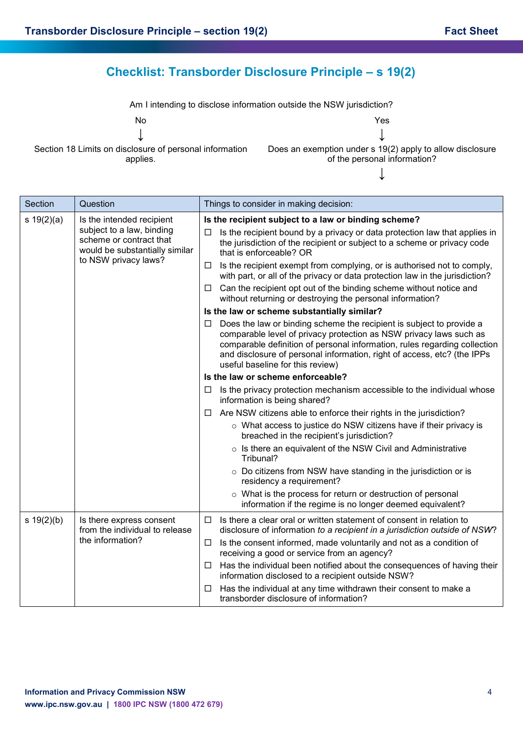## **Checklist: Transborder Disclosure Principle – s 19(2)**

Am I intending to disclose information outside the NSW jurisdiction?

No Yes

Section 18 Limits on disclosure of personal information applies.

↓ ↓ Does an exemption under s 19(2) apply to allow disclosure of the personal information?

↓

| Section                                                                                                                           | Question                                                                                                                                                                                                                                       | Things to consider in making decision:                                                                                                                                                                                                                                                                                                      |
|-----------------------------------------------------------------------------------------------------------------------------------|------------------------------------------------------------------------------------------------------------------------------------------------------------------------------------------------------------------------------------------------|---------------------------------------------------------------------------------------------------------------------------------------------------------------------------------------------------------------------------------------------------------------------------------------------------------------------------------------------|
| s 19(2)(a)<br>Is the intended recipient<br>subject to a law, binding<br>scheme or contract that<br>would be substantially similar | Is the recipient subject to a law or binding scheme?<br>Is the recipient bound by a privacy or data protection law that applies in<br>□<br>the jurisdiction of the recipient or subject to a scheme or privacy code<br>that is enforceable? OR |                                                                                                                                                                                                                                                                                                                                             |
|                                                                                                                                   | to NSW privacy laws?                                                                                                                                                                                                                           | Is the recipient exempt from complying, or is authorised not to comply,<br>⊔<br>with part, or all of the privacy or data protection law in the jurisdiction?                                                                                                                                                                                |
|                                                                                                                                   |                                                                                                                                                                                                                                                | Can the recipient opt out of the binding scheme without notice and<br>□<br>without returning or destroying the personal information?                                                                                                                                                                                                        |
|                                                                                                                                   |                                                                                                                                                                                                                                                | Is the law or scheme substantially similar?                                                                                                                                                                                                                                                                                                 |
|                                                                                                                                   |                                                                                                                                                                                                                                                | Does the law or binding scheme the recipient is subject to provide a<br>ப<br>comparable level of privacy protection as NSW privacy laws such as<br>comparable definition of personal information, rules regarding collection<br>and disclosure of personal information, right of access, etc? (the IPPs<br>useful baseline for this review) |
|                                                                                                                                   |                                                                                                                                                                                                                                                | Is the law or scheme enforceable?                                                                                                                                                                                                                                                                                                           |
|                                                                                                                                   |                                                                                                                                                                                                                                                | Is the privacy protection mechanism accessible to the individual whose<br>ப<br>information is being shared?                                                                                                                                                                                                                                 |
|                                                                                                                                   |                                                                                                                                                                                                                                                | Are NSW citizens able to enforce their rights in the jurisdiction?<br>□                                                                                                                                                                                                                                                                     |
|                                                                                                                                   |                                                                                                                                                                                                                                                | o What access to justice do NSW citizens have if their privacy is<br>breached in the recipient's jurisdiction?                                                                                                                                                                                                                              |
|                                                                                                                                   |                                                                                                                                                                                                                                                | $\circ$ Is there an equivalent of the NSW Civil and Administrative<br>Tribunal?                                                                                                                                                                                                                                                             |
|                                                                                                                                   |                                                                                                                                                                                                                                                | $\circ$ Do citizens from NSW have standing in the jurisdiction or is<br>residency a requirement?                                                                                                                                                                                                                                            |
|                                                                                                                                   | o What is the process for return or destruction of personal<br>information if the regime is no longer deemed equivalent?                                                                                                                       |                                                                                                                                                                                                                                                                                                                                             |
| s 19(2)(b)<br>the information?                                                                                                    | Is there express consent<br>from the individual to release                                                                                                                                                                                     | Is there a clear oral or written statement of consent in relation to<br>□<br>disclosure of information to a recipient in a jurisdiction outside of NSW?                                                                                                                                                                                     |
|                                                                                                                                   |                                                                                                                                                                                                                                                | Is the consent informed, made voluntarily and not as a condition of<br>□<br>receiving a good or service from an agency?                                                                                                                                                                                                                     |
|                                                                                                                                   |                                                                                                                                                                                                                                                | Has the individual been notified about the consequences of having their<br>□<br>information disclosed to a recipient outside NSW?                                                                                                                                                                                                           |
|                                                                                                                                   |                                                                                                                                                                                                                                                | Has the individual at any time withdrawn their consent to make a<br>⊔<br>transborder disclosure of information?                                                                                                                                                                                                                             |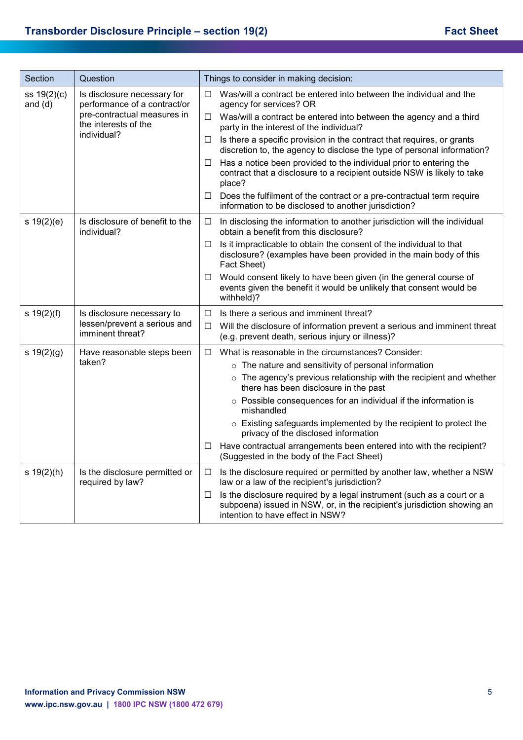| Section                                                      | Question                                                                                                                                                     | Things to consider in making decision:                                                                                                                                                     |
|--------------------------------------------------------------|--------------------------------------------------------------------------------------------------------------------------------------------------------------|--------------------------------------------------------------------------------------------------------------------------------------------------------------------------------------------|
| ss 19(2)(c)<br>and $(d)$                                     | Is disclosure necessary for<br>performance of a contract/or<br>pre-contractual measures in<br>the interests of the<br>individual?                            | Was/will a contract be entered into between the individual and the<br>□<br>agency for services? OR                                                                                         |
|                                                              |                                                                                                                                                              | $\Box$ Was/will a contract be entered into between the agency and a third<br>party in the interest of the individual?                                                                      |
|                                                              |                                                                                                                                                              | Is there a specific provision in the contract that requires, or grants<br>$\Box$<br>discretion to, the agency to disclose the type of personal information?                                |
|                                                              | Has a notice been provided to the individual prior to entering the<br>□<br>contract that a disclosure to a recipient outside NSW is likely to take<br>place? |                                                                                                                                                                                            |
|                                                              |                                                                                                                                                              | Does the fulfilment of the contract or a pre-contractual term require<br>□<br>information to be disclosed to another jurisdiction?                                                         |
| s 19(2)(e)<br>Is disclosure of benefit to the<br>individual? |                                                                                                                                                              | In disclosing the information to another jurisdiction will the individual<br>□<br>obtain a benefit from this disclosure?                                                                   |
|                                                              | Is it impracticable to obtain the consent of the individual to that<br>□<br>disclosure? (examples have been provided in the main body of this<br>Fact Sheet) |                                                                                                                                                                                            |
|                                                              |                                                                                                                                                              | Would consent likely to have been given (in the general course of<br>$\Box$<br>events given the benefit it would be unlikely that consent would be<br>withheld)?                           |
| $s \ 19(2)(f)$                                               | Is disclosure necessary to                                                                                                                                   | Is there a serious and imminent threat?<br>□                                                                                                                                               |
|                                                              | lessen/prevent a serious and<br>imminent threat?                                                                                                             | Will the disclosure of information prevent a serious and imminent threat<br>$\Box$<br>(e.g. prevent death, serious injury or illness)?                                                     |
| s 19(2)(g)                                                   | Have reasonable steps been                                                                                                                                   | What is reasonable in the circumstances? Consider:<br>$\Box$                                                                                                                               |
|                                                              | taken?                                                                                                                                                       | o The nature and sensitivity of personal information                                                                                                                                       |
|                                                              |                                                                                                                                                              | o The agency's previous relationship with the recipient and whether<br>there has been disclosure in the past                                                                               |
|                                                              |                                                                                                                                                              | o Possible consequences for an individual if the information is<br>mishandled                                                                                                              |
|                                                              |                                                                                                                                                              | o Existing safeguards implemented by the recipient to protect the<br>privacy of the disclosed information                                                                                  |
|                                                              |                                                                                                                                                              | Have contractual arrangements been entered into with the recipient?<br>□<br>(Suggested in the body of the Fact Sheet)                                                                      |
| s 19(2)(h)                                                   | Is the disclosure permitted or<br>required by law?                                                                                                           | Is the disclosure required or permitted by another law, whether a NSW<br>$\Box$<br>law or a law of the recipient's jurisdiction?                                                           |
|                                                              |                                                                                                                                                              | Is the disclosure required by a legal instrument (such as a court or a<br>□<br>subpoena) issued in NSW, or, in the recipient's jurisdiction showing an<br>intention to have effect in NSW? |